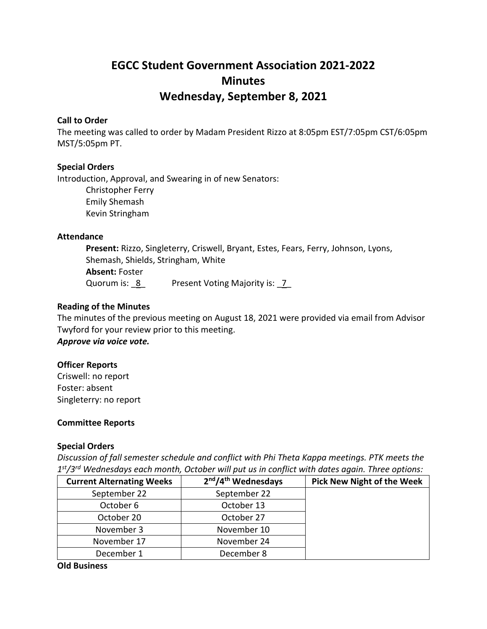# **EGCC Student Government Association 2021-2022 Minutes Wednesday, September 8, 2021**

### **Call to Order**

The meeting was called to order by Madam President Rizzo at 8:05pm EST/7:05pm CST/6:05pm MST/5:05pm PT.

### **Special Orders**

Introduction, Approval, and Swearing in of new Senators: Christopher Ferry Emily Shemash Kevin Stringham

### **Attendance**

**Present:** Rizzo, Singleterry, Criswell, Bryant, Estes, Fears, Ferry, Johnson, Lyons, Shemash, Shields, Stringham, White **Absent:** Foster Quorum is: 8 Present Voting Majority is: 7

### **Reading of the Minutes**

The minutes of the previous meeting on August 18, 2021 were provided via email from Advisor Twyford for your review prior to this meeting. *Approve via voice vote.*

### **Officer Reports**

Criswell: no report Foster: absent Singleterry: no report

#### **Committee Reports**

#### **Special Orders**

*Discussion of fall semester schedule and conflict with Phi Theta Kappa meetings. PTK meets the 1st/3rd Wednesdays each month, October will put us in conflict with dates again. Three options:*

| <b>Current Alternating Weeks</b> | 2 <sup>nd</sup> /4 <sup>th</sup> Wednesdays | <b>Pick New Night of the Week</b> |
|----------------------------------|---------------------------------------------|-----------------------------------|
| September 22                     | September 22                                |                                   |
| October 6                        | October 13                                  |                                   |
| October 20                       | October 27                                  |                                   |
| November 3                       | November 10                                 |                                   |
| November 17                      | November 24                                 |                                   |
| December 1                       | December 8                                  |                                   |

#### **Old Business**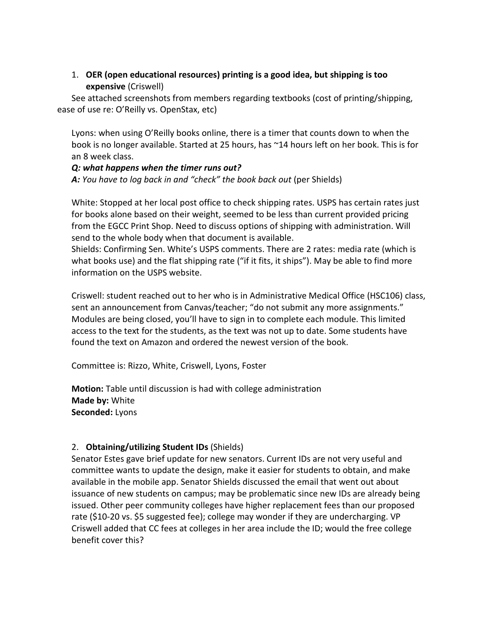# 1. **OER (open educational resources) printing is a good idea, but shipping is too expensive** (Criswell)

See attached screenshots from members regarding textbooks (cost of printing/shipping, ease of use re: O'Reilly vs. OpenStax, etc)

Lyons: when using O'Reilly books online, there is a timer that counts down to when the book is no longer available. Started at 25 hours, has ~14 hours left on her book. This is for an 8 week class.

# *Q: what happens when the timer runs out?*

*A: You have to log back in and "check" the book back out* (per Shields)

White: Stopped at her local post office to check shipping rates. USPS has certain rates just for books alone based on their weight, seemed to be less than current provided pricing from the EGCC Print Shop. Need to discuss options of shipping with administration. Will send to the whole body when that document is available.

Shields: Confirming Sen. White's USPS comments. There are 2 rates: media rate (which is what books use) and the flat shipping rate ("if it fits, it ships"). May be able to find more information on the USPS website.

Criswell: student reached out to her who is in Administrative Medical Office (HSC106) class, sent an announcement from Canvas/teacher; "do not submit any more assignments." Modules are being closed, you'll have to sign in to complete each module. This limited access to the text for the students, as the text was not up to date. Some students have found the text on Amazon and ordered the newest version of the book.

Committee is: Rizzo, White, Criswell, Lyons, Foster

**Motion:** Table until discussion is had with college administration **Made by:** White **Seconded:** Lyons

# 2. **Obtaining/utilizing Student IDs** (Shields)

Senator Estes gave brief update for new senators. Current IDs are not very useful and committee wants to update the design, make it easier for students to obtain, and make available in the mobile app. Senator Shields discussed the email that went out about issuance of new students on campus; may be problematic since new IDs are already being issued. Other peer community colleges have higher replacement fees than our proposed rate (\$10-20 vs. \$5 suggested fee); college may wonder if they are undercharging. VP Criswell added that CC fees at colleges in her area include the ID; would the free college benefit cover this?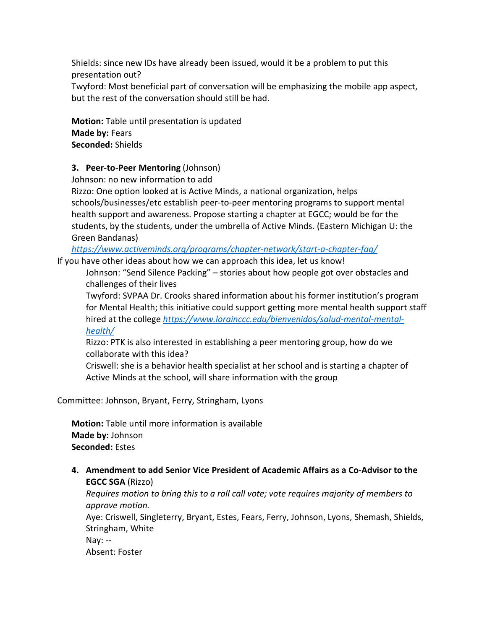Shields: since new IDs have already been issued, would it be a problem to put this presentation out?

Twyford: Most beneficial part of conversation will be emphasizing the mobile app aspect, but the rest of the conversation should still be had.

**Motion:** Table until presentation is updated **Made by:** Fears **Seconded:** Shields

# **3. Peer-to-Peer Mentoring** (Johnson)

Johnson: no new information to add

Rizzo: One option looked at is Active Minds, a national organization, helps schools/businesses/etc establish peer-to-peer mentoring programs to support mental health support and awareness. Propose starting a chapter at EGCC; would be for the students, by the students, under the umbrella of Active Minds. (Eastern Michigan U: the Green Bandanas)

*<https://www.activeminds.org/programs/chapter-network/start-a-chapter-faq/>*

If you have other ideas about how we can approach this idea, let us know!

Johnson: "Send Silence Packing" – stories about how people got over obstacles and challenges of their lives

Twyford: SVPAA Dr. Crooks shared information about his former institution's program for Mental Health; this initiative could support getting more mental health support staff hired at the college *[https://www.lorainccc.edu/bienvenidos/salud-mental-mental](https://www.lorainccc.edu/bienvenidos/salud-mental-mental-health/)[health/](https://www.lorainccc.edu/bienvenidos/salud-mental-mental-health/)*

Rizzo: PTK is also interested in establishing a peer mentoring group, how do we collaborate with this idea?

Criswell: she is a behavior health specialist at her school and is starting a chapter of Active Minds at the school, will share information with the group

Committee: Johnson, Bryant, Ferry, Stringham, Lyons

**Motion:** Table until more information is available **Made by:** Johnson **Seconded:** Estes

**4. Amendment to add Senior Vice President of Academic Affairs as a Co-Advisor to the EGCC SGA** (Rizzo)

*Requires motion to bring this to a roll call vote; vote requires majority of members to approve motion.*

Aye: Criswell, Singleterry, Bryant, Estes, Fears, Ferry, Johnson, Lyons, Shemash, Shields, Stringham, White

Nay: --

Absent: Foster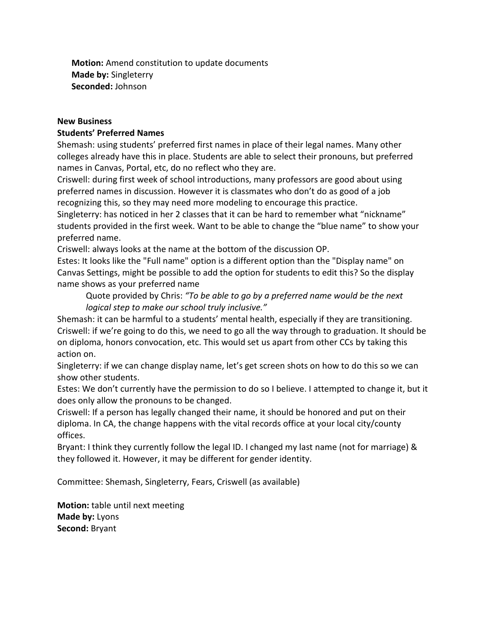**Motion:** Amend constitution to update documents **Made by:** Singleterry **Seconded:** Johnson

#### **New Business**

### **Students' Preferred Names**

Shemash: using students' preferred first names in place of their legal names. Many other colleges already have this in place. Students are able to select their pronouns, but preferred names in Canvas, Portal, etc, do no reflect who they are.

Criswell: during first week of school introductions, many professors are good about using preferred names in discussion. However it is classmates who don't do as good of a job recognizing this, so they may need more modeling to encourage this practice.

Singleterry: has noticed in her 2 classes that it can be hard to remember what "nickname" students provided in the first week. Want to be able to change the "blue name" to show your preferred name.

Criswell: always looks at the name at the bottom of the discussion OP.

Estes: It looks like the "Full name" option is a different option than the "Display name" on Canvas Settings, might be possible to add the option for students to edit this? So the display name shows as your preferred name

Quote provided by Chris: *"To be able to go by a preferred name would be the next logical step to make our school truly inclusive."*

Shemash: it can be harmful to a students' mental health, especially if they are transitioning. Criswell: if we're going to do this, we need to go all the way through to graduation. It should be on diploma, honors convocation, etc. This would set us apart from other CCs by taking this action on.

Singleterry: if we can change display name, let's get screen shots on how to do this so we can show other students.

Estes: We don't currently have the permission to do so I believe. I attempted to change it, but it does only allow the pronouns to be changed.

Criswell: If a person has legally changed their name, it should be honored and put on their diploma. In CA, the change happens with the vital records office at your local city/county offices.

Bryant: I think they currently follow the legal ID. I changed my last name (not for marriage) & they followed it. However, it may be different for gender identity.

Committee: Shemash, Singleterry, Fears, Criswell (as available)

**Motion:** table until next meeting **Made by:** Lyons **Second:** Bryant